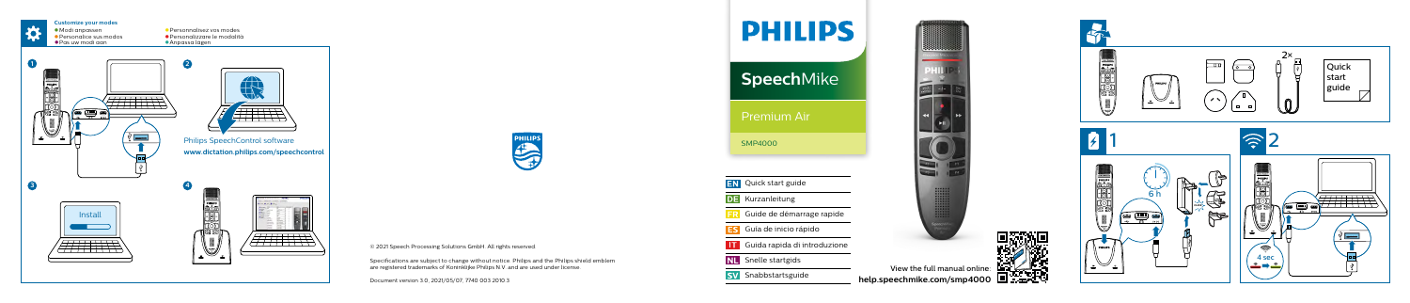



**CONTRACTOR** 

View the full manual online: **[help.speechmike.com/](http://help.speechmike.com/smp4000)smp4000**



© 2021 Speech Processing Solutions GmbH. All rights reserved.

Specifications are subject to change without notice. Philips and the Philips shield emblem are registered trademarks of Koninklijke Philips N.V. and are used under license.

Document version 3.0, 2021/05/07, 7740 003 2010.3